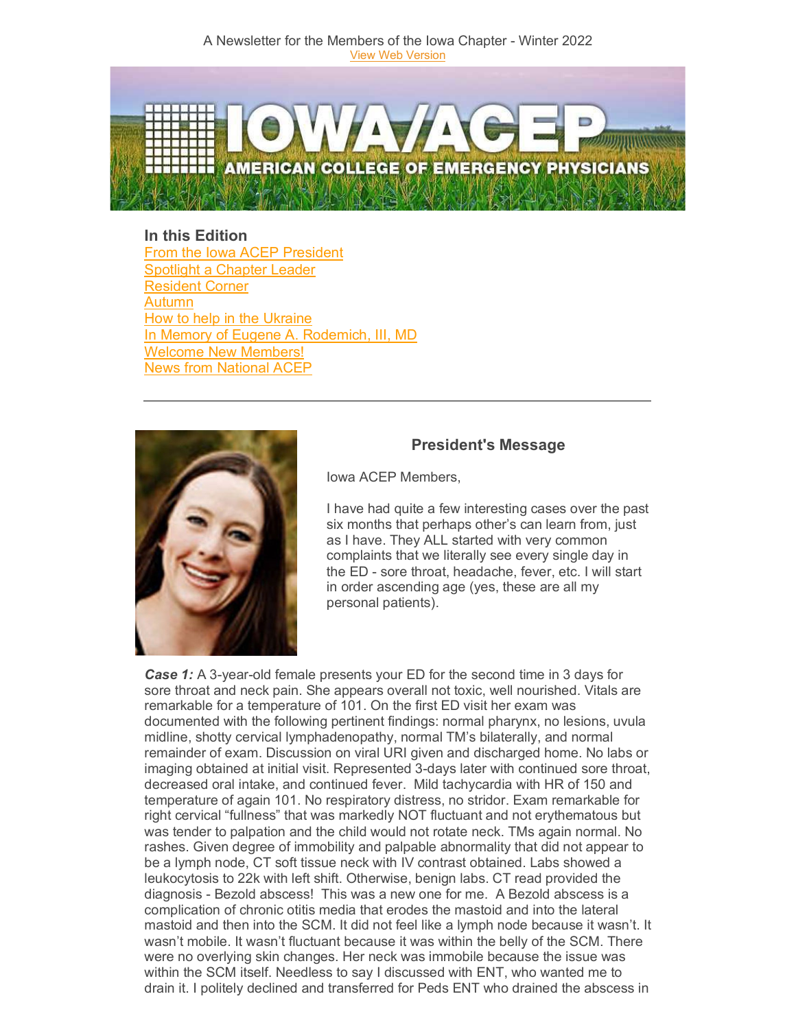

**In this Edition** [From the Iowa ACEP President](#page-0-0) [Spotlight a Chapter Leader](#page-2-0) [Resident Corner](#page-2-1) [Autumn](#page-4-0) [How to help in the Ukraine](#page-4-1) [In Memory of Eugene A.](#page-5-0) Rodemich, III, MD [Welcome New Members!](#page-6-0) [News from National ACEP](#page-6-1)



# **President's Message**

<span id="page-0-0"></span>Iowa ACEP Members,

I have had quite a few interesting cases over the past six months that perhaps other's can learn from, just as I have. They ALL started with very common complaints that we literally see every single day in the ED - sore throat, headache, fever, etc. I will start in order ascending age (yes, these are all my personal patients).

*Case 1:* A 3-year-old female presents your ED for the second time in 3 days for sore throat and neck pain. She appears overall not toxic, well nourished. Vitals are remarkable for a temperature of 101. On the first ED visit her exam was documented with the following pertinent findings: normal pharynx, no lesions, uvula midline, shotty cervical lymphadenopathy, normal TM's bilaterally, and normal remainder of exam. Discussion on viral URI given and discharged home. No labs or imaging obtained at initial visit. Represented 3-days later with continued sore throat, decreased oral intake, and continued fever. Mild tachycardia with HR of 150 and temperature of again 101. No respiratory distress, no stridor. Exam remarkable for right cervical "fullness" that was markedly NOT fluctuant and not erythematous but was tender to palpation and the child would not rotate neck. TMs again normal. No rashes. Given degree of immobility and palpable abnormality that did not appear to be a lymph node, CT soft tissue neck with IV contrast obtained. Labs showed a leukocytosis to 22k with left shift. Otherwise, benign labs. CT read provided the diagnosis - Bezold abscess! This was a new one for me. A Bezold abscess is a complication of chronic otitis media that erodes the mastoid and into the lateral mastoid and then into the SCM. It did not feel like a lymph node because it wasn't. It wasn't mobile. It wasn't fluctuant because it was within the belly of the SCM. There were no overlying skin changes. Her neck was immobile because the issue was within the SCM itself. Needless to say I discussed with ENT, who wanted me to drain it. I politely declined and transferred for Peds ENT who drained the abscess in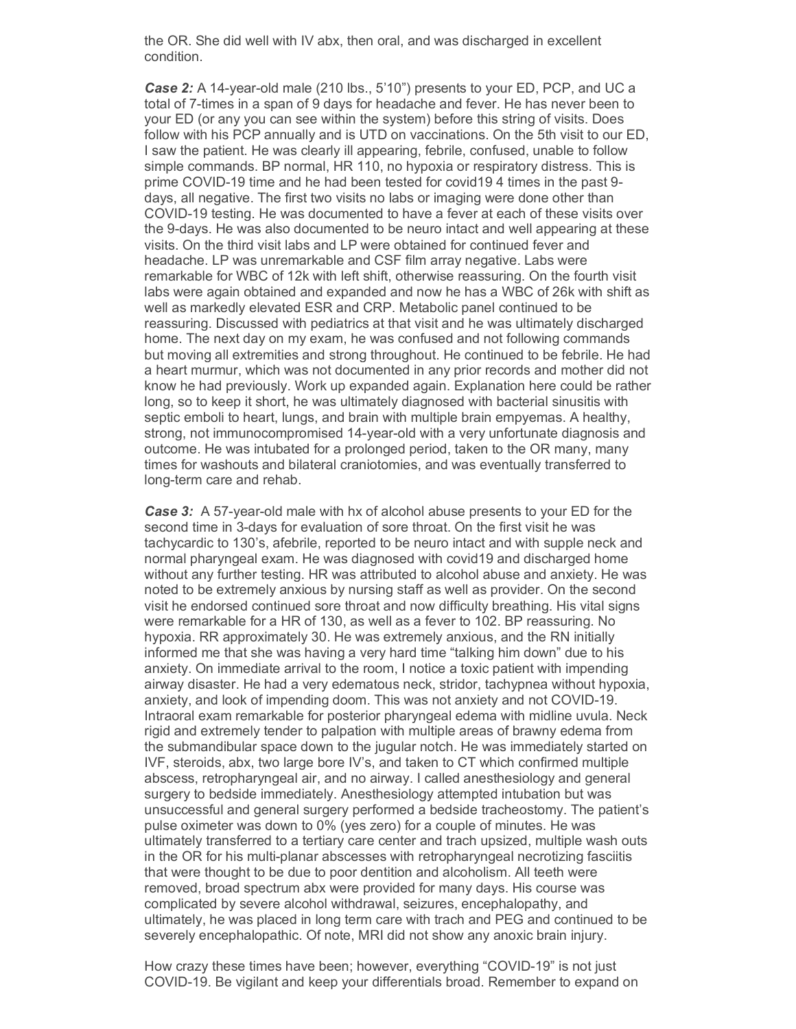the OR. She did well with IV abx, then oral, and was discharged in excellent condition.

*Case 2:* A 14-year-old male (210 lbs., 5'10") presents to your ED, PCP, and UC a total of 7-times in a span of 9 days for headache and fever. He has never been to your ED (or any you can see within the system) before this string of visits. Does follow with his PCP annually and is UTD on vaccinations. On the 5th visit to our ED, I saw the patient. He was clearly ill appearing, febrile, confused, unable to follow simple commands. BP normal, HR 110, no hypoxia or respiratory distress. This is prime COVID-19 time and he had been tested for covid19 4 times in the past 9 days, all negative. The first two visits no labs or imaging were done other than COVID-19 testing. He was documented to have a fever at each of these visits over the 9-days. He was also documented to be neuro intact and well appearing at these visits. On the third visit labs and LP were obtained for continued fever and headache. LP was unremarkable and CSF film array negative. Labs were remarkable for WBC of 12k with left shift, otherwise reassuring. On the fourth visit labs were again obtained and expanded and now he has a WBC of 26k with shift as well as markedly elevated ESR and CRP. Metabolic panel continued to be reassuring. Discussed with pediatrics at that visit and he was ultimately discharged home. The next day on my exam, he was confused and not following commands but moving all extremities and strong throughout. He continued to be febrile. He had a heart murmur, which was not documented in any prior records and mother did not know he had previously. Work up expanded again. Explanation here could be rather long, so to keep it short, he was ultimately diagnosed with bacterial sinusitis with septic emboli to heart, lungs, and brain with multiple brain empyemas. A healthy, strong, not immunocompromised 14-year-old with a very unfortunate diagnosis and outcome. He was intubated for a prolonged period, taken to the OR many, many times for washouts and bilateral craniotomies, and was eventually transferred to long-term care and rehab.

*Case 3:* A 57-year-old male with hx of alcohol abuse presents to your ED for the second time in 3-days for evaluation of sore throat. On the first visit he was tachycardic to 130's, afebrile, reported to be neuro intact and with supple neck and normal pharyngeal exam. He was diagnosed with covid19 and discharged home without any further testing. HR was attributed to alcohol abuse and anxiety. He was noted to be extremely anxious by nursing staff as well as provider. On the second visit he endorsed continued sore throat and now difficulty breathing. His vital signs were remarkable for a HR of 130, as well as a fever to 102. BP reassuring. No hypoxia. RR approximately 30. He was extremely anxious, and the RN initially informed me that she was having a very hard time "talking him down" due to his anxiety. On immediate arrival to the room, I notice a toxic patient with impending airway disaster. He had a very edematous neck, stridor, tachypnea without hypoxia, anxiety, and look of impending doom. This was not anxiety and not COVID-19. Intraoral exam remarkable for posterior pharyngeal edema with midline uvula. Neck rigid and extremely tender to palpation with multiple areas of brawny edema from the submandibular space down to the jugular notch. He was immediately started on IVF, steroids, abx, two large bore IV's, and taken to CT which confirmed multiple abscess, retropharyngeal air, and no airway. I called anesthesiology and general surgery to bedside immediately. Anesthesiology attempted intubation but was unsuccessful and general surgery performed a bedside tracheostomy. The patient's pulse oximeter was down to 0% (yes zero) for a couple of minutes. He was ultimately transferred to a tertiary care center and trach upsized, multiple wash outs in the OR for his multi-planar abscesses with retropharyngeal necrotizing fasciitis that were thought to be due to poor dentition and alcoholism. All teeth were removed, broad spectrum abx were provided for many days. His course was complicated by severe alcohol withdrawal, seizures, encephalopathy, and ultimately, he was placed in long term care with trach and PEG and continued to be severely encephalopathic. Of note, MRI did not show any anoxic brain injury.

How crazy these times have been; however, everything "COVID-19" is not just COVID-19. Be vigilant and keep your differentials broad. Remember to expand on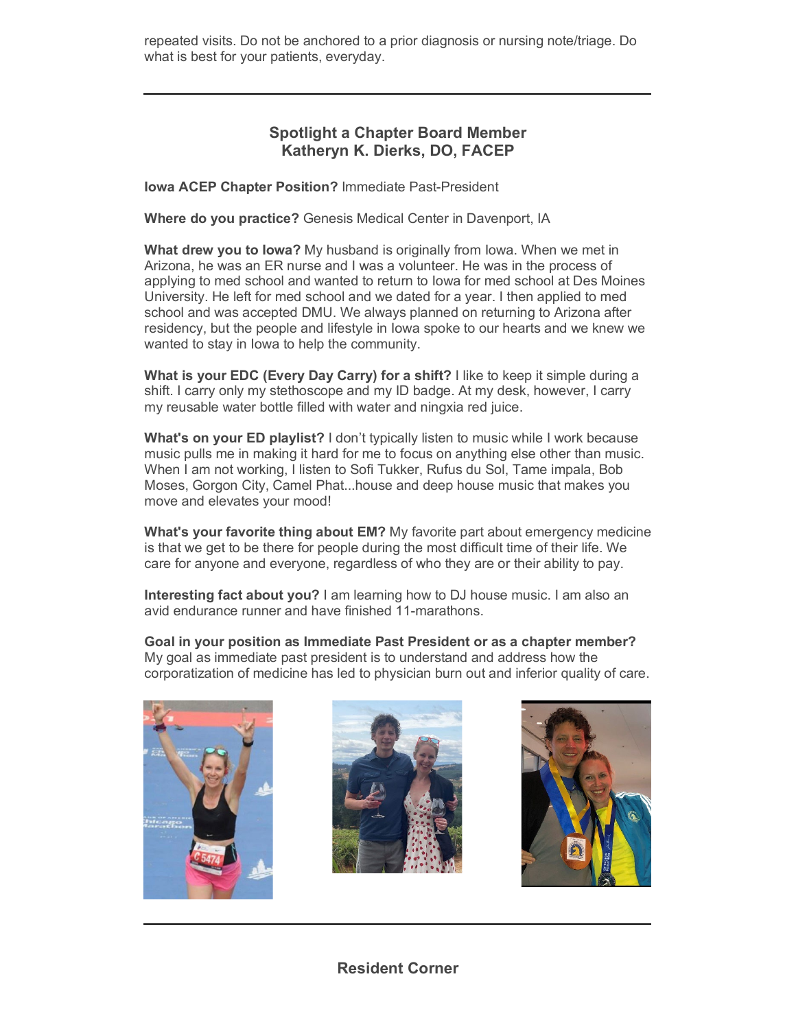repeated visits. Do not be anchored to a prior diagnosis or nursing note/triage. Do what is best for your patients, everyday.

# <span id="page-2-0"></span>**Spotlight a Chapter Board Member Katheryn K. Dierks, DO, FACEP**

**Iowa ACEP Chapter Position?** Immediate Past-President

**Where do you practice?** Genesis Medical Center in Davenport, IA

**What drew you to Iowa?** My husband is originally from Iowa. When we met in Arizona, he was an ER nurse and I was a volunteer. He was in the process of applying to med school and wanted to return to Iowa for med school at Des Moines University. He left for med school and we dated for a year. I then applied to med school and was accepted DMU. We always planned on returning to Arizona after residency, but the people and lifestyle in Iowa spoke to our hearts and we knew we wanted to stay in Iowa to help the community.

**What is your EDC (Every Day Carry) for a shift?** I like to keep it simple during a shift. I carry only my stethoscope and my ID badge. At my desk, however, I carry my reusable water bottle filled with water and ningxia red juice.

**What's on your ED playlist?** I don't typically listen to music while I work because music pulls me in making it hard for me to focus on anything else other than music. When I am not working, I listen to Sofi Tukker, Rufus du Sol, Tame impala, Bob Moses, Gorgon City, Camel Phat...house and deep house music that makes you move and elevates your mood!

**What's your favorite thing about EM?** My favorite part about emergency medicine is that we get to be there for people during the most difficult time of their life. We care for anyone and everyone, regardless of who they are or their ability to pay.

**Interesting fact about you?** I am learning how to DJ house music. I am also an avid endurance runner and have finished 11-marathons.

**Goal in your position as Immediate Past President or as a chapter member?** My goal as immediate past president is to understand and address how the corporatization of medicine has led to physician burn out and inferior quality of care.







<span id="page-2-1"></span>**Resident Corner**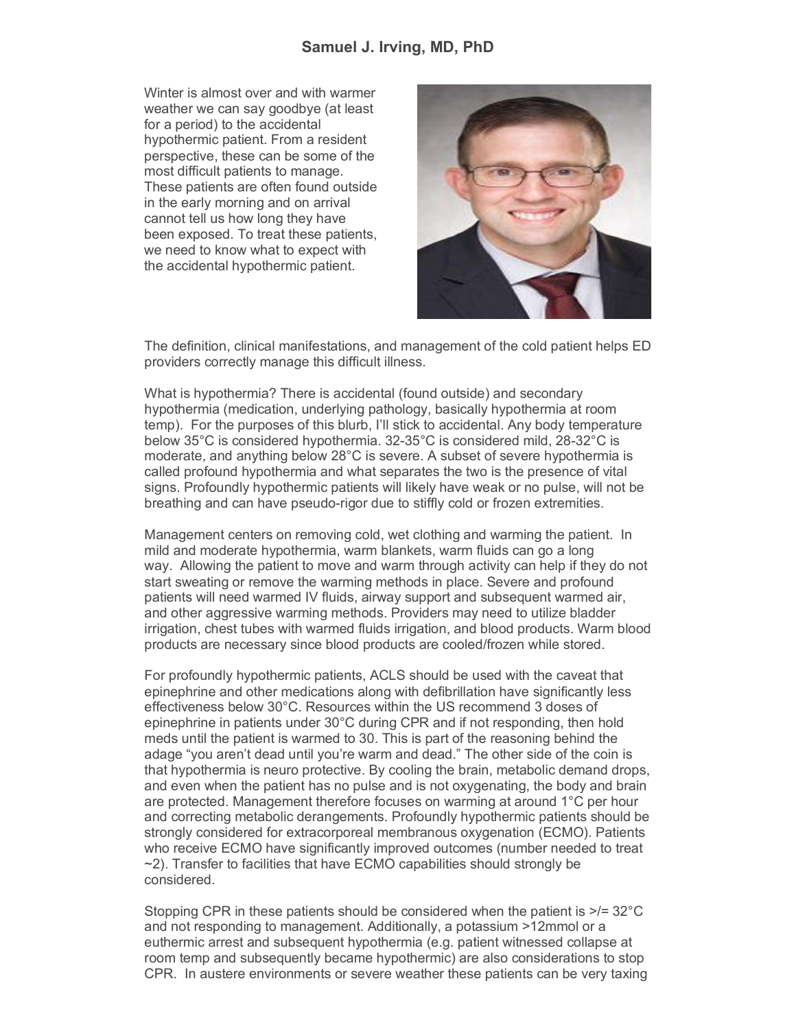## **Samuel J. Irving, MD, PhD**

Winter is almost over and with warmer weather we can say goodbye (at least for a period) to the accidental hypothermic patient. From a resident perspective, these can be some of the most difficult patients to manage. These patients are often found outside in the early morning and on arrival cannot tell us how long they have been exposed. To treat these patients, we need to know what to expect with the accidental hypothermic patient.



The definition, clinical manifestations, and management of the cold patient helps ED providers correctly manage this difficult illness.

What is hypothermia? There is accidental (found outside) and secondary hypothermia (medication, underlying pathology, basically hypothermia at room temp). For the purposes of this blurb, I'll stick to accidental. Any body temperature below 35°C is considered hypothermia. 32-35°C is considered mild, 28-32°C is moderate, and anything below 28°C is severe. A subset of severe hypothermia is called profound hypothermia and what separates the two is the presence of vital signs. Profoundly hypothermic patients will likely have weak or no pulse, will not be breathing and can have pseudo-rigor due to stiffly cold or frozen extremities.

Management centers on removing cold, wet clothing and warming the patient. In mild and moderate hypothermia, warm blankets, warm fluids can go a long way. Allowing the patient to move and warm through activity can help if they do not start sweating or remove the warming methods in place. Severe and profound patients will need warmed IV fluids, airway support and subsequent warmed air, and other aggressive warming methods. Providers may need to utilize bladder irrigation, chest tubes with warmed fluids irrigation, and blood products. Warm blood products are necessary since blood products are cooled/frozen while stored.

For profoundly hypothermic patients, ACLS should be used with the caveat that epinephrine and other medications along with defibrillation have significantly less effectiveness below 30°C. Resources within the US recommend 3 doses of epinephrine in patients under 30°C during CPR and if not responding, then hold meds until the patient is warmed to 30. This is part of the reasoning behind the adage "you aren't dead until you're warm and dead." The other side of the coin is that hypothermia is neuro protective. By cooling the brain, metabolic demand drops, and even when the patient has no pulse and is not oxygenating, the body and brain are protected. Management therefore focuses on warming at around 1°C per hour and correcting metabolic derangements. Profoundly hypothermic patients should be strongly considered for extracorporeal membranous oxygenation (ECMO). Patients who receive ECMO have significantly improved outcomes (number needed to treat  $\sim$ 2). Transfer to facilities that have ECMO capabilities should strongly be considered.

Stopping CPR in these patients should be considered when the patient is >/= 32°C and not responding to management. Additionally, a potassium >12mmol or a euthermic arrest and subsequent hypothermia (e.g. patient witnessed collapse at room temp and subsequently became hypothermic) are also considerations to stop CPR. In austere environments or severe weather these patients can be very taxing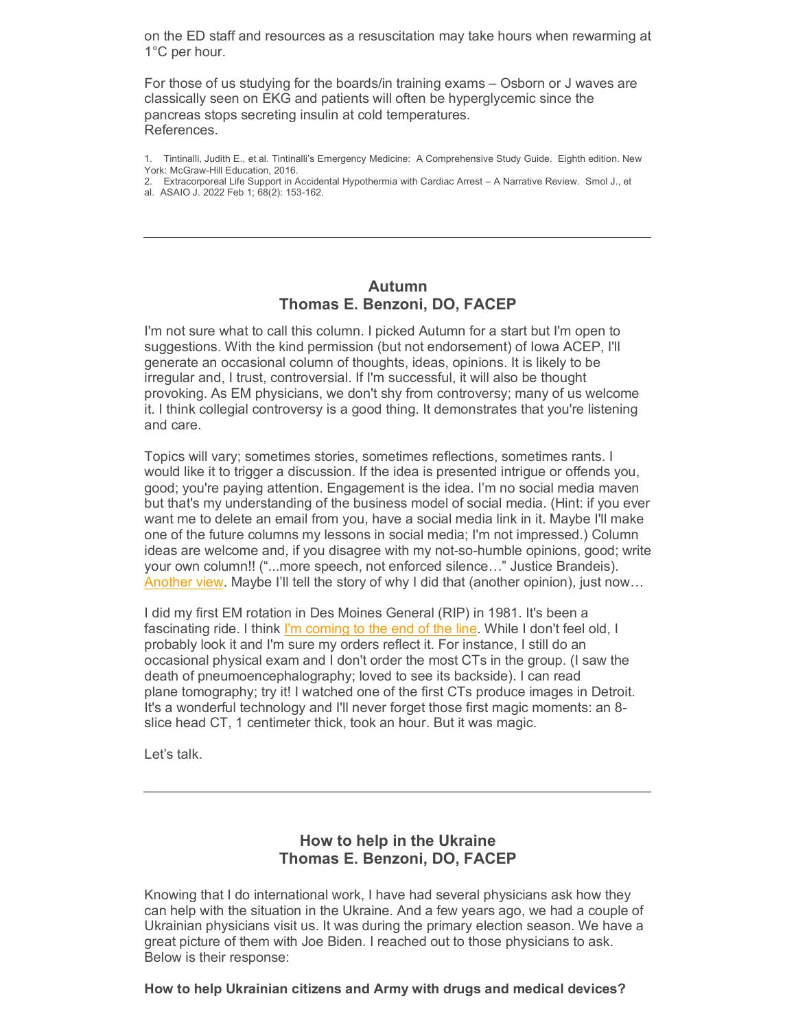on the ED staff and resources as a resuscitation may take hours when rewarming at 1°C per hour.

For those of us studying for the boards/in training exams – Osborn or J waves are classically seen on EKG and patients will often be hyperglycemic since the pancreas stops secreting insulin at cold temperatures. References.

- 1. Tintinalli, Judith E., et al. Tintinalli's Emergency Medicine: A Comprehensive Study Guide. Eighth edition. New York: McGraw-Hill Education, 2016.
- 2. Extracorporeal Life Support in Accidental Hypothermia with Cardiac Arrest A Narrative Review. Smol J., et al. ASAIO J. 2022 Feb 1; 68(2): 153-162.

## <span id="page-4-0"></span>**Autumn Thomas E. Benzoni, DO, FACEP**

I'm not sure what to call this column. I picked Autumn for a start but I'm open to suggestions. With the kind permission (but not endorsement) of Iowa ACEP, I'll generate an occasional column of thoughts, ideas, opinions. It is likely to be irregular and, I trust, controversial. If I'm successful, it will also be thought provoking. As EM physicians, we don't shy from controversy; many of us welcome it. I think collegial controversy is a good thing. It demonstrates that you're listening and care.

Topics will vary; sometimes stories, sometimes reflections, sometimes rants. I would like it to trigger a discussion. If the idea is presented intrigue or offends you, good; you're paying attention. Engagement is the idea. I'm no social media maven but that's my understanding of the business model of social media. (Hint: if you ever want me to delete an email from you, have a social media link in it. Maybe I'll make one of the future columns my lessons in social media; I'm not impressed.) Column ideas are welcome and, if you disagree with my not-so-humble opinions, good; write your own column!! ("...more speech, not enforced silence…" Justice Brandeis). [Another view.](https://elink.clickdimensions.com/c/7/eyJhaSI6NjEzMDk3MDgsImUiOiJhYWx2YXJlekBhY2VwLm9yZyIsInJpIjoiY29udGFjdC01OTdmYTFkMmRkMjNlMDExYTEwNTAwNTA1NmFlMjc4Zi00NzA4YjczNDM3OWM0ZTVkYmQ4YTZlYWZjZjQxZjExYSIsInJxIjoiMDItYjIyMDYwLWUzOTQ2MmQ3Zjg1NDRmZjY5ZTE5NjZiZjg2ZTUyNDJkIiwicGgiOm51bGwsIm0iOmZhbHNlLCJ1aSI6IjIiLCJ1biI6IlByZXNpZGVudCIsInUiOiJodHRwczovL3d3dy53YXNoaW5ndG9ucG9zdC5jb20vb3BpbmlvbnMvc29tZXRpbWVzLW1vcmUtc3BlZWNoLWlzbnQtdGhlLXNvbHV0aW9uLXRvLW9mZmVuc2l2ZS1zcGVlY2gvMjAxOC8wNS8yOS83ZDg3MGE3OC02MzVkLTExZTgtYTY5Yy1iOTQ0ZGU2NmQ5ZTdfc3RvcnkuaHRtbCVjMiVhMD9fY2xkZWU9WVdGc2RtRnlaWHBBWVdObGNDNXZjbWMlM2QmcmVjaXBpZW50aWQ9Y29udGFjdC01OTdmYTFkMmRkMjNlMDExYTEwNTAwNTA1NmFlMjc4Zi00NzA4YjczNDM3OWM0ZTVkYmQ4YTZlYWZjZjQxZjExYSZlc2lkPTBhNjk0NTgzLTg4OTktZWMxMS1hOWNkLThiZjc4ZTM0MDI2ZiJ9/cqV_C-qXc-8HuXfh7Kx8fg) Maybe I'll tell the story of why I did that (another opinion), just now...

I did my first EM rotation in Des Moines General (RIP) in 1981. It's been a fascinating ride. I think [I'm coming to the end of the line.](https://elink.clickdimensions.com/c/7/eyJhaSI6NjEzMDk3MDgsImUiOiJhYWx2YXJlekBhY2VwLm9yZyIsInJpIjoiY29udGFjdC01OTdmYTFkMmRkMjNlMDExYTEwNTAwNTA1NmFlMjc4Zi00NzA4YjczNDM3OWM0ZTVkYmQ4YTZlYWZjZjQxZjExYSIsInJxIjoiMDItYjIyMDYwLWUzOTQ2MmQ3Zjg1NDRmZjY5ZTE5NjZiZjg2ZTUyNDJkIiwicGgiOm51bGwsIm0iOmZhbHNlLCJ1aSI6IjMiLCJ1biI6IiIsInUiOiJodHRwczovL3d3dy55b3V0dWJlLmNvbS93YXRjaD92PVVNVmpUb1lPamJNJl9jbGRlZT1ZV0ZzZG1GeVpYcEFZV05sY0M1dmNtYyUzZCZyZWNpcGllbnRpZD1jb250YWN0LTU5N2ZhMWQyZGQyM2UwMTFhMTA1MDA1MDU2YWUyNzhmLTQ3MDhiNzM0Mzc5YzRlNWRiZDhhNmVhZmNmNDFmMTFhJmVzaWQ9MGE2OTQ1ODMtODg5OS1lYzExLWE5Y2QtOGJmNzhlMzQwMjZmIn0/uxUqn3fbhzDTHWLP2K-H1g) While I don't feel old, I probably look it and I'm sure my orders reflect it. For instance, I still do an occasional physical exam and I don't order the most CTs in the group. (I saw the death of pneumoencephalography; loved to see its backside). I can read plane tomography; try it! I watched one of the first CTs produce images in Detroit. It's a wonderful technology and I'll never forget those first magic moments: an 8 slice head CT, 1 centimeter thick, took an hour. But it was magic.

Let's talk.

# <span id="page-4-1"></span>**How to help in the Ukraine Thomas E. Benzoni, DO, FACEP**

Knowing that I do international work, I have had several physicians ask how they can help with the situation in the Ukraine. And a few years ago, we had a couple of Ukrainian physicians visit us. It was during the primary election season. We have a great picture of them with Joe Biden. I reached out to those physicians to ask. Below is their response: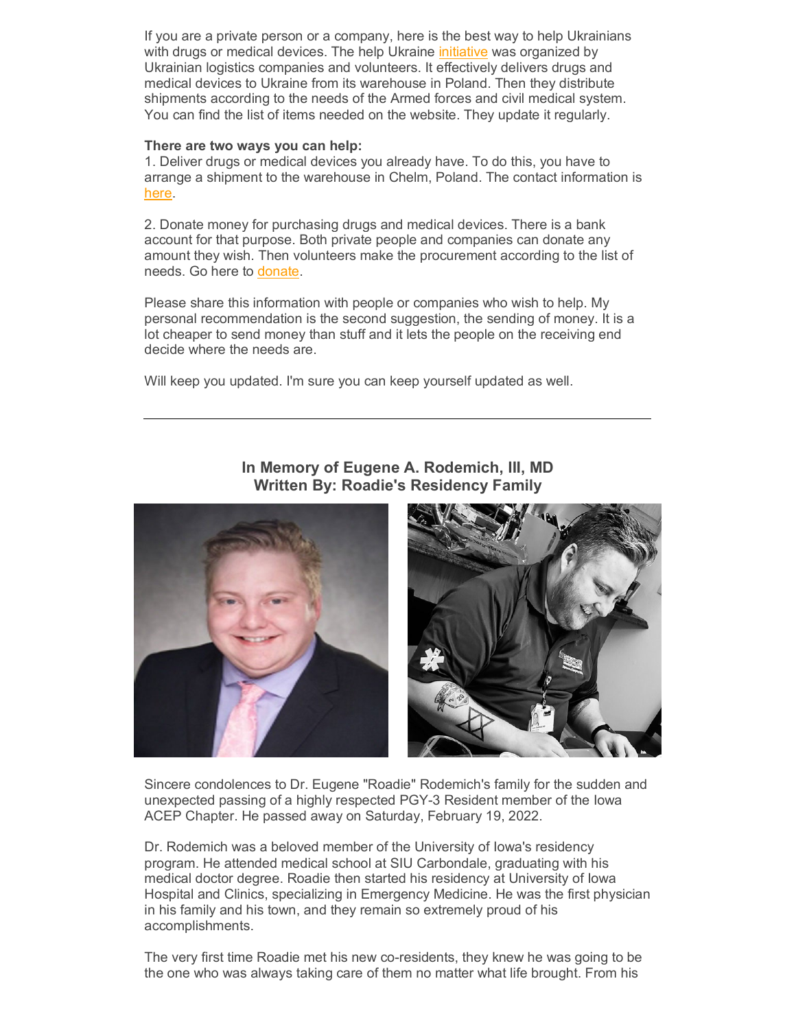If you are a private person or a company, here is the best way to help Ukrainians with drugs or medical devices. The help Ukraine [initiative](https://elink.clickdimensions.com/c/7/eyJhaSI6NjEzMDk3MDgsImUiOiJhYWx2YXJlekBhY2VwLm9yZyIsInJpIjoiY29udGFjdC01OTdmYTFkMmRkMjNlMDExYTEwNTAwNTA1NmFlMjc4Zi00NzA4YjczNDM3OWM0ZTVkYmQ4YTZlYWZjZjQxZjExYSIsInJxIjoiMDItYjIyMDYwLWUzOTQ2MmQ3Zjg1NDRmZjY5ZTE5NjZiZjg2ZTUyNDJkIiwicGgiOm51bGwsIm0iOmZhbHNlLCJ1aSI6IjQiLCJ1biI6IlVrcmFpbmUiLCJ1IjoiaHR0cDovL2hlbHB1a3JhaW5lLmNlbnRlci9lbj9fY2xkZWU9WVdGc2RtRnlaWHBBWVdObGNDNXZjbWMlM2QmcmVjaXBpZW50aWQ9Y29udGFjdC01OTdmYTFkMmRkMjNlMDExYTEwNTAwNTA1NmFlMjc4Zi00NzA4YjczNDM3OWM0ZTVkYmQ4YTZlYWZjZjQxZjExYSZlc2lkPTBhNjk0NTgzLTg4OTktZWMxMS1hOWNkLThiZjc4ZTM0MDI2ZiJ9/qJfegoluBkck3yOtQOJ-Qg) was organized by Ukrainian logistics companies and volunteers. It effectively delivers drugs and medical devices to Ukraine from its warehouse in Poland. Then they distribute shipments according to the needs of the Armed forces and civil medical system. You can find the list of items needed on the website. They update it regularly.

#### **There are two ways you can help:**

1. Deliver drugs or medical devices you already have. To do this, you have to arrange a shipment to the warehouse in Chelm, Poland. The contact information is [here.](https://elink.clickdimensions.com/c/7/eyJhaSI6NjEzMDk3MDgsImUiOiJhYWx2YXJlekBhY2VwLm9yZyIsInJpIjoiY29udGFjdC01OTdmYTFkMmRkMjNlMDExYTEwNTAwNTA1NmFlMjc4Zi00NzA4YjczNDM3OWM0ZTVkYmQ4YTZlYWZjZjQxZjExYSIsInJxIjoiMDItYjIyMDYwLWUzOTQ2MmQ3Zjg1NDRmZjY5ZTE5NjZiZjg2ZTUyNDJkIiwicGgiOm51bGwsIm0iOmZhbHNlLCJ1aSI6IjUiLCJ1biI6IiIsInUiOiJodHRwOi8vaGVscHVrcmFpbmUuY2VudGVyL2VuP19jbGRlZT1ZV0ZzZG1GeVpYcEFZV05sY0M1dmNtYyUzZCZyZWNpcGllbnRpZD1jb250YWN0LTU5N2ZhMWQyZGQyM2UwMTFhMTA1MDA1MDU2YWUyNzhmLTQ3MDhiNzM0Mzc5YzRlNWRiZDhhNmVhZmNmNDFmMTFhJmVzaWQ9MGE2OTQ1ODMtODg5OS1lYzExLWE5Y2QtOGJmNzhlMzQwMjZmIn0/krUOExz6_iyof0XS-ofSCQ)

2. Donate money for purchasing drugs and medical devices. There is a bank account for that purpose. Both private people and companies can donate any amount they wish. Then volunteers make the procurement according to the list of needs. Go here to [donate.](https://elink.clickdimensions.com/c/7/eyJhaSI6NjEzMDk3MDgsImUiOiJhYWx2YXJlekBhY2VwLm9yZyIsInJpIjoiY29udGFjdC01OTdmYTFkMmRkMjNlMDExYTEwNTAwNTA1NmFlMjc4Zi00NzA4YjczNDM3OWM0ZTVkYmQ4YTZlYWZjZjQxZjExYSIsInJxIjoiMDItYjIyMDYwLWUzOTQ2MmQ3Zjg1NDRmZjY5ZTE5NjZiZjg2ZTUyNDJkIiwicGgiOm51bGwsIm0iOmZhbHNlLCJ1aSI6IjYiLCJ1biI6IiIsInUiOiJodHRwczovL3d3dy5lcm5zdC1wcm9zdC1zdGlmdHVuZy5vcmcvZW4tZ2Ivc3BlbmRlbj9fY2xkZWU9WVdGc2RtRnlaWHBBWVdObGNDNXZjbWMlM2QmcmVjaXBpZW50aWQ9Y29udGFjdC01OTdmYTFkMmRkMjNlMDExYTEwNTAwNTA1NmFlMjc4Zi00NzA4YjczNDM3OWM0ZTVkYmQ4YTZlYWZjZjQxZjExYSZlc2lkPTBhNjk0NTgzLTg4OTktZWMxMS1hOWNkLThiZjc4ZTM0MDI2ZiJ9/2DkUz6935prgSPcWPtu4aw)

Please share this information with people or companies who wish to help. My personal recommendation is the second suggestion, the sending of money. It is a lot cheaper to send money than stuff and it lets the people on the receiving end decide where the needs are.

Will keep you updated. I'm sure you can keep yourself updated as well.

<span id="page-5-0"></span>**In Memory of Eugene A. Rodemich, III, MD Written By: Roadie's Residency Family**

Sincere condolences to Dr. Eugene "Roadie" Rodemich's family for the sudden and unexpected passing of a highly respected PGY-3 Resident member of the Iowa ACEP Chapter. He passed away on Saturday, February 19, 2022.

Dr. Rodemich was a beloved member of the University of Iowa's residency program. He attended medical school at SIU Carbondale, graduating with his medical doctor degree. Roadie then started his residency at University of Iowa Hospital and Clinics, specializing in Emergency Medicine. He was the first physician in his family and his town, and they remain so extremely proud of his accomplishments.

The very first time Roadie met his new co-residents, they knew he was going to be the one who was always taking care of them no matter what life brought. From his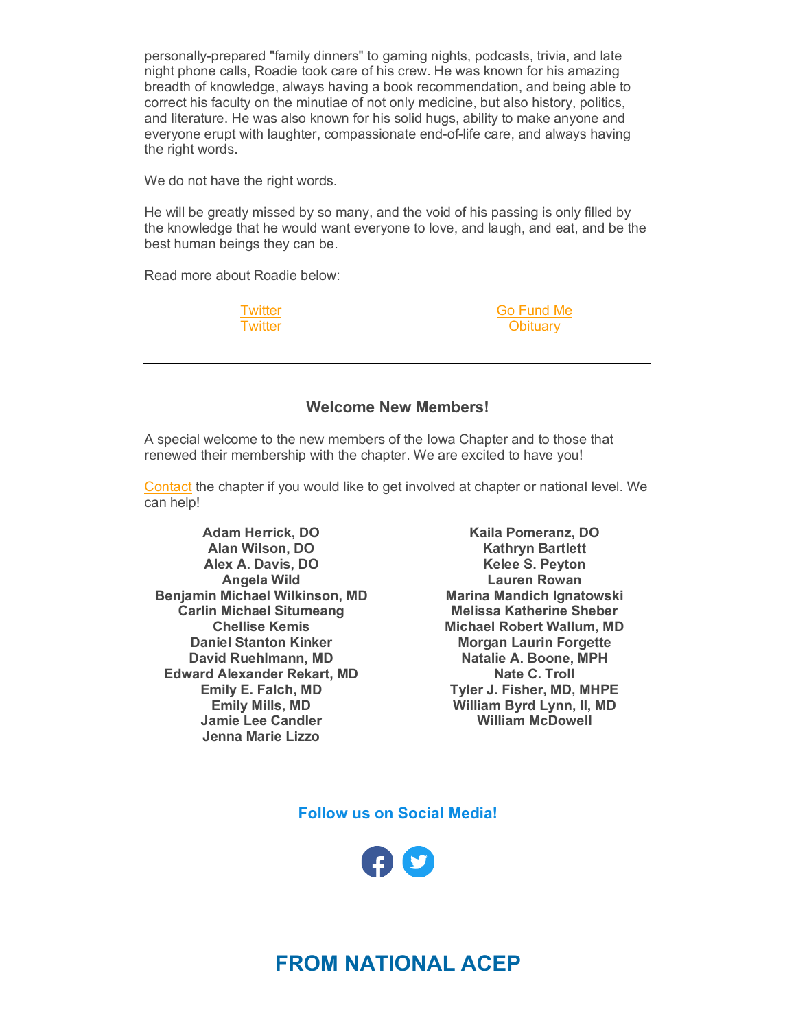personally-prepared "family dinners" to gaming nights, podcasts, trivia, and late night phone calls, Roadie took care of his crew. He was known for his amazing breadth of knowledge, always having a book recommendation, and being able to correct his faculty on the minutiae of not only medicine, but also history, politics, and literature. He was also known for his solid hugs, ability to make anyone and everyone erupt with laughter, compassionate end-of-life care, and always having the right words.

We do not have the right words.

He will be greatly missed by so many, and the void of his passing is only filled by the knowledge that he would want everyone to love, and laugh, and eat, and be the best human beings they can be.

Read more about Roadie below:

**[Twitter](https://elink.clickdimensions.com/c/7/eyJhaSI6NjEzMDk3MDgsImUiOiJhYWx2YXJlekBhY2VwLm9yZyIsInJpIjoiY29udGFjdC01OTdmYTFkMmRkMjNlMDExYTEwNTAwNTA1NmFlMjc4Zi00NzA4YjczNDM3OWM0ZTVkYmQ4YTZlYWZjZjQxZjExYSIsInJxIjoiMDItYjIyMDYwLWUzOTQ2MmQ3Zjg1NDRmZjY5ZTE5NjZiZjg2ZTUyNDJkIiwicGgiOm51bGwsIm0iOmZhbHNlLCJ1aSI6IjciLCJ1biI6Ik1lbW9yeSIsInUiOiJodHRwczovL3R3aXR0ZXIuY29tL0RyYUNvcXVpTUQvc3RhdHVzLzE0OTYyNjc5MTA0ODE5MTE4MTA_cz0yMCZ0PWloT216d1ZZOVdRWVF6c0hoNHNTN3cmX2NsZGVlPVlXRnNkbUZ5WlhwQVlXTmxjQzV2Y21jJTNkJnJlY2lwaWVudGlkPWNvbnRhY3QtNTk3ZmExZDJkZDIzZTAxMWExMDUwMDUwNTZhZTI3OGYtNDcwOGI3MzQzNzljNGU1ZGJkOGE2ZWFmY2Y0MWYxMWEmZXNpZD0wYTY5NDU4My04ODk5LWVjMTEtYTljZC04YmY3OGUzNDAyNmYifQ/ZQQEfoCewk9tdLPS2fHokg) [Twitter](https://elink.clickdimensions.com/c/7/eyJhaSI6NjEzMDk3MDgsImUiOiJhYWx2YXJlekBhY2VwLm9yZyIsInJpIjoiY29udGFjdC01OTdmYTFkMmRkMjNlMDExYTEwNTAwNTA1NmFlMjc4Zi00NzA4YjczNDM3OWM0ZTVkYmQ4YTZlYWZjZjQxZjExYSIsInJxIjoiMDItYjIyMDYwLWUzOTQ2MmQ3Zjg1NDRmZjY5ZTE5NjZiZjg2ZTUyNDJkIiwicGgiOm51bGwsIm0iOmZhbHNlLCJ1aSI6IjgiLCJ1biI6IiIsInUiOiJodHRwczovL3R3aXR0ZXIuY29tL0tDeW5kYXJpL3N0YXR1cy8xNDk1OTI1Mjg0OTIyNjk5Nzc4P3M9MjAmdD1paE9tendWWTlXUVlRenNIaDRzUzd3Jl9jbGRlZT1ZV0ZzZG1GeVpYcEFZV05sY0M1dmNtYyUzZCZyZWNpcGllbnRpZD1jb250YWN0LTU5N2ZhMWQyZGQyM2UwMTFhMTA1MDA1MDU2YWUyNzhmLTQ3MDhiNzM0Mzc5YzRlNWRiZDhhNmVhZmNmNDFmMTFhJmVzaWQ9MGE2OTQ1ODMtODg5OS1lYzExLWE5Y2QtOGJmNzhlMzQwMjZmIn0/rIoqlN71VVCXR5edNqnSOQ)**  <span id="page-6-0"></span>[Go Fund Me](https://elink.clickdimensions.com/c/7/eyJhaSI6NjEzMDk3MDgsImUiOiJhYWx2YXJlekBhY2VwLm9yZyIsInJpIjoiY29udGFjdC01OTdmYTFkMmRkMjNlMDExYTEwNTAwNTA1NmFlMjc4Zi00NzA4YjczNDM3OWM0ZTVkYmQ4YTZlYWZjZjQxZjExYSIsInJxIjoiMDItYjIyMDYwLWUzOTQ2MmQ3Zjg1NDRmZjY5ZTE5NjZiZjg2ZTUyNDJkIiwicGgiOm51bGwsIm0iOmZhbHNlLCJ1aSI6IjkiLCJ1biI6IiIsInUiOiJodHRwczovL3d3dy5nb2Z1bmRtZS5jb20vZi9ldWdlbmUtcm9hZGllLXJvZGVtaWNoP3V0bV9jYW1wYWlnbj1wX2xpY28rc2hhcmUtc2hlZXQmdXRtX21lZGl1bT1jb3B5X2xpbmsmdXRtX3NvdXJjZT1jdXN0b21lciZfY2xkZWU9WVdGc2RtRnlaWHBBWVdObGNDNXZjbWMlM2QmcmVjaXBpZW50aWQ9Y29udGFjdC01OTdmYTFkMmRkMjNlMDExYTEwNTAwNTA1NmFlMjc4Zi00NzA4YjczNDM3OWM0ZTVkYmQ4YTZlYWZjZjQxZjExYSZlc2lkPTBhNjk0NTgzLTg4OTktZWMxMS1hOWNkLThiZjc4ZTM0MDI2ZiJ9/iTMl8IQPowxAo6x4oVI4GQ) **[Obituary](https://elink.clickdimensions.com/c/7/eyJhaSI6NjEzMDk3MDgsImUiOiJhYWx2YXJlekBhY2VwLm9yZyIsInJpIjoiY29udGFjdC01OTdmYTFkMmRkMjNlMDExYTEwNTAwNTA1NmFlMjc4Zi00NzA4YjczNDM3OWM0ZTVkYmQ4YTZlYWZjZjQxZjExYSIsInJxIjoiMDItYjIyMDYwLWUzOTQ2MmQ3Zjg1NDRmZjY5ZTE5NjZiZjg2ZTUyNDJkIiwicGgiOm51bGwsIm0iOmZhbHNlLCJ1aSI6IjEwIiwidW4iOiIiLCJ1IjoiaHR0cHM6Ly93d3cuaG9mZmVuZmguY29tL29iaXR1YXJpZXMvRXVnZW5lLUEtUm9kZW1pY2gtSUlJLU1EP29iSWQ9MjQwNjkwMTgmZmJjbGlkPUl3QVIwaVRiMDRSOHNHTk5lSjR4Q2R2bzF5dkdGQzg0U3RmUXdTd21JVWpHeGUyc0JUVHFucl9CVFZxNlEmX2NsZGVlPVlXRnNkbUZ5WlhwQVlXTmxjQzV2Y21jJTNkJnJlY2lwaWVudGlkPWNvbnRhY3QtNTk3ZmExZDJkZDIzZTAxMWExMDUwMDUwNTZhZTI3OGYtNDcwOGI3MzQzNzljNGU1ZGJkOGE2ZWFmY2Y0MWYxMWEmZXNpZD0wYTY5NDU4My04ODk5LWVjMTEtYTljZC04YmY3OGUzNDAyNmYjL2NlbGVicmF0aW9uV2FsbCJ9/LmmVkWWGWYlSEEa2eDku7w)** 

### **Welcome New Members!**

A special welcome to the new members of the Iowa Chapter and to those that renewed their membership with the chapter. We are excited to have you!

[Contact](mailto:ia.chapter@acep.org) the chapter if you would like to get involved at chapter or national level. We can help!

**Adam Herrick, DO Alan Wilson, DO Alex A. Davis, DO Angela Wild Benjamin Michael Wilkinson, MD Carlin Michael Situmeang Chellise Kemis Daniel Stanton Kinker David Ruehlmann, MD Edward Alexander Rekart, MD Emily E. Falch, MD Emily Mills, MD Jamie Lee Candler Jenna Marie Lizzo**

**Kaila Pomeranz, DO Kathryn Bartlett Kelee S. Peyton Lauren Rowan Marina Mandich Ignatowski Melissa Katherine Sheber Michael Robert Wallum, MD Morgan Laurin Forgette Natalie A. Boone, MPH Nate C. Troll Tyler J. Fisher, MD, MHPE William Byrd Lynn, II, MD William McDowell**

**Follow us on Social Media!**

<span id="page-6-1"></span>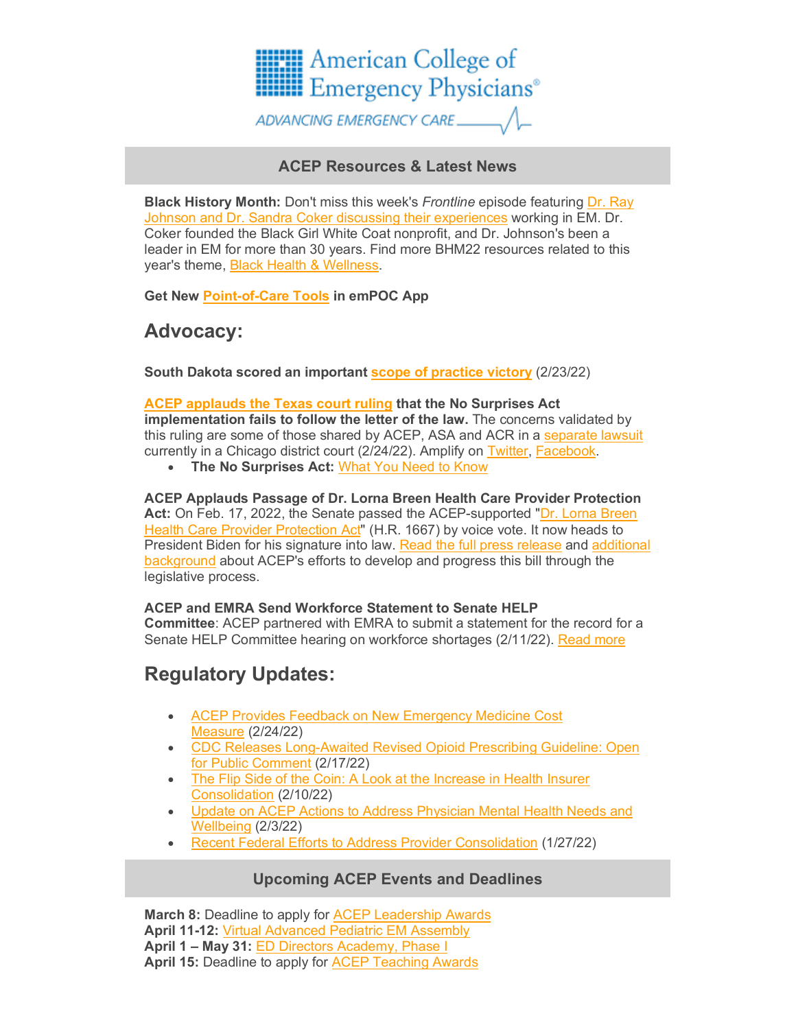

# **ACEP Resources & Latest News**

**Black History Month:** Don't miss this week's *Frontline* episode featuring [Dr. Ray](https://elink.clickdimensions.com/c/7/eyJhaSI6NjEzMDk3MDgsImUiOiJhYWx2YXJlekBhY2VwLm9yZyIsInJpIjoiY29udGFjdC01OTdmYTFkMmRkMjNlMDExYTEwNTAwNTA1NmFlMjc4Zi00NzA4YjczNDM3OWM0ZTVkYmQ4YTZlYWZjZjQxZjExYSIsInJxIjoiMDItYjIyMDYwLWUzOTQ2MmQ3Zjg1NDRmZjY5ZTE5NjZiZjg2ZTUyNDJkIiwicGgiOm51bGwsIm0iOmZhbHNlLCJ1aSI6IjE3IiwidW4iOiIiLCJ1IjoiaHR0cHM6Ly9zb3VuZGNsb3VkLmNvbS9hY2VwLWZyb250bGluZS9ibGFjay1oaXN0b3J5LW1vbnRoLXNwZWNpYWw_X2NsZGVlPVlXRnNkbUZ5WlhwQVlXTmxjQzV2Y21jJTNkJnJlY2lwaWVudGlkPWNvbnRhY3QtNTk3ZmExZDJkZDIzZTAxMWExMDUwMDUwNTZhZTI3OGYtNDcwOGI3MzQzNzljNGU1ZGJkOGE2ZWFmY2Y0MWYxMWEmZXNpZD0wYTY5NDU4My04ODk5LWVjMTEtYTljZC04YmY3OGUzNDAyNmYifQ/AfXhnuPTckwX9JfIJ_wEIg)  [Johnson and Dr. Sandra Coker discussing their experiences](https://elink.clickdimensions.com/c/7/eyJhaSI6NjEzMDk3MDgsImUiOiJhYWx2YXJlekBhY2VwLm9yZyIsInJpIjoiY29udGFjdC01OTdmYTFkMmRkMjNlMDExYTEwNTAwNTA1NmFlMjc4Zi00NzA4YjczNDM3OWM0ZTVkYmQ4YTZlYWZjZjQxZjExYSIsInJxIjoiMDItYjIyMDYwLWUzOTQ2MmQ3Zjg1NDRmZjY5ZTE5NjZiZjg2ZTUyNDJkIiwicGgiOm51bGwsIm0iOmZhbHNlLCJ1aSI6IjE3IiwidW4iOiIiLCJ1IjoiaHR0cHM6Ly9zb3VuZGNsb3VkLmNvbS9hY2VwLWZyb250bGluZS9ibGFjay1oaXN0b3J5LW1vbnRoLXNwZWNpYWw_X2NsZGVlPVlXRnNkbUZ5WlhwQVlXTmxjQzV2Y21jJTNkJnJlY2lwaWVudGlkPWNvbnRhY3QtNTk3ZmExZDJkZDIzZTAxMWExMDUwMDUwNTZhZTI3OGYtNDcwOGI3MzQzNzljNGU1ZGJkOGE2ZWFmY2Y0MWYxMWEmZXNpZD0wYTY5NDU4My04ODk5LWVjMTEtYTljZC04YmY3OGUzNDAyNmYifQ/AfXhnuPTckwX9JfIJ_wEIg) working in EM. Dr. Coker founded the Black Girl White Coat nonprofit, and Dr. Johnson's been a leader in EM for more than 30 years. Find more BHM22 resources related to this year's theme, [Black Health & Wellness.](https://elink.clickdimensions.com/c/7/eyJhaSI6NjEzMDk3MDgsImUiOiJhYWx2YXJlekBhY2VwLm9yZyIsInJpIjoiY29udGFjdC01OTdmYTFkMmRkMjNlMDExYTEwNTAwNTA1NmFlMjc4Zi00NzA4YjczNDM3OWM0ZTVkYmQ4YTZlYWZjZjQxZjExYSIsInJxIjoiMDItYjIyMDYwLWUzOTQ2MmQ3Zjg1NDRmZjY5ZTE5NjZiZjg2ZTUyNDJkIiwicGgiOm51bGwsIm0iOmZhbHNlLCJ1aSI6IjE4IiwidW4iOiIiLCJ1IjoiaHR0cHM6Ly93d3cuYWNlcC5vcmcvaG9tZS1wYWdlLXJlZGlyZWN0cy9sYXRlc3QtbmV3cy9ibGFjay1oaXN0b3J5LW1vbnRoLWhlYWx0aC0td2VsbG5lc3MvP19jbGRlZT1ZV0ZzZG1GeVpYcEFZV05sY0M1dmNtYyUzZCZyZWNpcGllbnRpZD1jb250YWN0LTU5N2ZhMWQyZGQyM2UwMTFhMTA1MDA1MDU2YWUyNzhmLTQ3MDhiNzM0Mzc5YzRlNWRiZDhhNmVhZmNmNDFmMTFhJmVzaWQ9MGE2OTQ1ODMtODg5OS1lYzExLWE5Y2QtOGJmNzhlMzQwMjZmIn0/Eb-tBNTvEQcKUqV9IJB0cg)

**Get New [Point-of-Care Tools](https://elink.clickdimensions.com/c/7/eyJhaSI6NjEzMDk3MDgsImUiOiJhYWx2YXJlekBhY2VwLm9yZyIsInJpIjoiY29udGFjdC01OTdmYTFkMmRkMjNlMDExYTEwNTAwNTA1NmFlMjc4Zi00NzA4YjczNDM3OWM0ZTVkYmQ4YTZlYWZjZjQxZjExYSIsInJxIjoiMDItYjIyMDYwLWUzOTQ2MmQ3Zjg1NDRmZjY5ZTE5NjZiZjg2ZTUyNDJkIiwicGgiOm51bGwsIm0iOmZhbHNlLCJ1aSI6IjE5IiwidW4iOiIiLCJ1IjoiaHR0cHM6Ly93d3cuYWNlcC5vcmcvcGF0aWVudC1jYXJlL3BvaW50LW9mLWNhcmUtdG9vbHMvP19jbGRlZT1ZV0ZzZG1GeVpYcEFZV05sY0M1dmNtYyUzZCZyZWNpcGllbnRpZD1jb250YWN0LTU5N2ZhMWQyZGQyM2UwMTFhMTA1MDA1MDU2YWUyNzhmLTQ3MDhiNzM0Mzc5YzRlNWRiZDhhNmVhZmNmNDFmMTFhJmVzaWQ9MGE2OTQ1ODMtODg5OS1lYzExLWE5Y2QtOGJmNzhlMzQwMjZmIn0/jmeAEAbNPE09jB74gPp3OA) in emPOC App**

# **Advocacy:**

**South Dakota scored an important [scope of practice victory](https://elink.clickdimensions.com/c/7/eyJhaSI6NjEzMDk3MDgsImUiOiJhYWx2YXJlekBhY2VwLm9yZyIsInJpIjoiY29udGFjdC01OTdmYTFkMmRkMjNlMDExYTEwNTAwNTA1NmFlMjc4Zi00NzA4YjczNDM3OWM0ZTVkYmQ4YTZlYWZjZjQxZjExYSIsInJxIjoiMDItYjIyMDYwLWUzOTQ2MmQ3Zjg1NDRmZjY5ZTE5NjZiZjg2ZTUyNDJkIiwicGgiOm51bGwsIm0iOmZhbHNlLCJ1aSI6IjIwIiwidW4iOiIiLCJ1IjoiaHR0cHM6Ly93d3cuYWNlcC5vcmcvaG9tZS1wYWdlLXJlZGlyZWN0cy9sYXRlc3QtbmV3cy9zb3V0aC1kYWtvdGEtc2NvcmVzLXNjb3BlLW9mLXByYWN0aWNlLXZpY3RvcnkvP19jbGRlZT1ZV0ZzZG1GeVpYcEFZV05sY0M1dmNtYyUzZCZyZWNpcGllbnRpZD1jb250YWN0LTU5N2ZhMWQyZGQyM2UwMTFhMTA1MDA1MDU2YWUyNzhmLTQ3MDhiNzM0Mzc5YzRlNWRiZDhhNmVhZmNmNDFmMTFhJmVzaWQ9MGE2OTQ1ODMtODg5OS1lYzExLWE5Y2QtOGJmNzhlMzQwMjZmIn0/L7O4RlrlCuUURVsgqIOHfg)** (2/23/22)

### **[ACEP applauds the Texas court ruling](https://elink.clickdimensions.com/c/7/eyJhaSI6NjEzMDk3MDgsImUiOiJhYWx2YXJlekBhY2VwLm9yZyIsInJpIjoiY29udGFjdC01OTdmYTFkMmRkMjNlMDExYTEwNTAwNTA1NmFlMjc4Zi00NzA4YjczNDM3OWM0ZTVkYmQ4YTZlYWZjZjQxZjExYSIsInJxIjoiMDItYjIyMDYwLWUzOTQ2MmQ3Zjg1NDRmZjY5ZTE5NjZiZjg2ZTUyNDJkIiwicGgiOm51bGwsIm0iOmZhbHNlLCJ1aSI6IjIxIiwidW4iOiIiLCJ1IjoiaHR0cHM6Ly93d3cuZW1lcmdlbmN5cGh5c2ljaWFucy5vcmcvcHJlc3MtcmVsZWFzZXMvMjAyMi8yLTI0LTIyLWFjZXAtcHJhaXNlcy10ZXhhcy1jb3VydC1ydWxpbmctdGhhdC1maW5kcy1mbGF3cy1pbi1uby1zdXJwcmlzZXMtYWN0LWltcGxlbWVudGF0aW9uP19jbGRlZT1ZV0ZzZG1GeVpYcEFZV05sY0M1dmNtYyUzZCZyZWNpcGllbnRpZD1jb250YWN0LTU5N2ZhMWQyZGQyM2UwMTFhMTA1MDA1MDU2YWUyNzhmLTQ3MDhiNzM0Mzc5YzRlNWRiZDhhNmVhZmNmNDFmMTFhJmVzaWQ9MGE2OTQ1ODMtODg5OS1lYzExLWE5Y2QtOGJmNzhlMzQwMjZmIn0/Y6qdG7hITeemZEDnGVlTeA) that the No Surprises Act**

**implementation fails to follow the letter of the law.** The concerns validated by this ruling are some of those shared by ACEP, ASA and ACR in a [separate lawsuit](https://elink.clickdimensions.com/c/7/eyJhaSI6NjEzMDk3MDgsImUiOiJhYWx2YXJlekBhY2VwLm9yZyIsInJpIjoiY29udGFjdC01OTdmYTFkMmRkMjNlMDExYTEwNTAwNTA1NmFlMjc4Zi00NzA4YjczNDM3OWM0ZTVkYmQ4YTZlYWZjZjQxZjExYSIsInJxIjoiMDItYjIyMDYwLWUzOTQ2MmQ3Zjg1NDRmZjY5ZTE5NjZiZjg2ZTUyNDJkIiwicGgiOm51bGwsIm0iOmZhbHNlLCJ1aSI6IjIyIiwidW4iOiIiLCJ1IjoiaHR0cHM6Ly93d3cuZW1lcmdlbmN5cGh5c2ljaWFucy5vcmcvcHJlc3MtcmVsZWFzZXMvMjAyMi8yLTktMjItaW4tbmV3LWNvdXJ0LW1vdGlvbi1tYWpvci1tZWRpY2FsLXNvY2lldGllcy1hcmd1ZS1uby1zdXJwcmlzZXMtYWN0LXJ1bGUtdmlvbGF0ZXMtbGF3LXBhc3NlZC1ieS1jb25ncmVzcz9fY2xkZWU9WVdGc2RtRnlaWHBBWVdObGNDNXZjbWMlM2QmcmVjaXBpZW50aWQ9Y29udGFjdC01OTdmYTFkMmRkMjNlMDExYTEwNTAwNTA1NmFlMjc4Zi00NzA4YjczNDM3OWM0ZTVkYmQ4YTZlYWZjZjQxZjExYSZlc2lkPTBhNjk0NTgzLTg4OTktZWMxMS1hOWNkLThiZjc4ZTM0MDI2ZiJ9/fTDEjFY5zwVhTir7R_8Ggg) currently in a Chicago district court (2/24/22). Amplify on [Twitter,](https://elink.clickdimensions.com/c/7/eyJhaSI6NjEzMDk3MDgsImUiOiJhYWx2YXJlekBhY2VwLm9yZyIsInJpIjoiY29udGFjdC01OTdmYTFkMmRkMjNlMDExYTEwNTAwNTA1NmFlMjc4Zi00NzA4YjczNDM3OWM0ZTVkYmQ4YTZlYWZjZjQxZjExYSIsInJxIjoiMDItYjIyMDYwLWUzOTQ2MmQ3Zjg1NDRmZjY5ZTE5NjZiZjg2ZTUyNDJkIiwicGgiOm51bGwsIm0iOmZhbHNlLCJ1aSI6IjIzIiwidW4iOiIiLCJ1IjoiaHR0cHM6Ly90d2l0dGVyLmNvbS9FbWVyZ2VuY3lEb2NzL3N0YXR1cy8xNDk2OTczNDIxNzc0ODg0ODcxP19jbGRlZT1ZV0ZzZG1GeVpYcEFZV05sY0M1dmNtYyUzZCZyZWNpcGllbnRpZD1jb250YWN0LTU5N2ZhMWQyZGQyM2UwMTFhMTA1MDA1MDU2YWUyNzhmLTQ3MDhiNzM0Mzc5YzRlNWRiZDhhNmVhZmNmNDFmMTFhJmVzaWQ9MGE2OTQ1ODMtODg5OS1lYzExLWE5Y2QtOGJmNzhlMzQwMjZmIn0/Rg0sIqgjpKrn0l3kgJgy1g) [Facebook.](https://elink.clickdimensions.com/c/7/eyJhaSI6NjEzMDk3MDgsImUiOiJhYWx2YXJlekBhY2VwLm9yZyIsInJpIjoiY29udGFjdC01OTdmYTFkMmRkMjNlMDExYTEwNTAwNTA1NmFlMjc4Zi00NzA4YjczNDM3OWM0ZTVkYmQ4YTZlYWZjZjQxZjExYSIsInJxIjoiMDItYjIyMDYwLWUzOTQ2MmQ3Zjg1NDRmZjY5ZTE5NjZiZjg2ZTUyNDJkIiwicGgiOm51bGwsIm0iOmZhbHNlLCJ1aSI6IjI0IiwidW4iOiIiLCJ1IjoiaHR0cHM6Ly93d3cuZmFjZWJvb2suY29tL0VtZXJnZW5jeVBoeXNpY2lhbnMub3JnL3Bvc3RzLzEwMTU4OTIyNjI1OTQ3ODE1P19jbGRlZT1ZV0ZzZG1GeVpYcEFZV05sY0M1dmNtYyUzZCZyZWNpcGllbnRpZD1jb250YWN0LTU5N2ZhMWQyZGQyM2UwMTFhMTA1MDA1MDU2YWUyNzhmLTQ3MDhiNzM0Mzc5YzRlNWRiZDhhNmVhZmNmNDFmMTFhJmVzaWQ9MGE2OTQ1ODMtODg5OS1lYzExLWE5Y2QtOGJmNzhlMzQwMjZmIn0/mJFiIu6XfQEehyKH5CG4hQ)

• **The No Surprises Act:** [What You Need to Know](https://elink.clickdimensions.com/c/7/eyJhaSI6NjEzMDk3MDgsImUiOiJhYWx2YXJlekBhY2VwLm9yZyIsInJpIjoiY29udGFjdC01OTdmYTFkMmRkMjNlMDExYTEwNTAwNTA1NmFlMjc4Zi00NzA4YjczNDM3OWM0ZTVkYmQ4YTZlYWZjZjQxZjExYSIsInJxIjoiMDItYjIyMDYwLWUzOTQ2MmQ3Zjg1NDRmZjY5ZTE5NjZiZjg2ZTUyNDJkIiwicGgiOm51bGwsIm0iOmZhbHNlLCJ1aSI6IjI1IiwidW4iOiIiLCJ1IjoiaHR0cHM6Ly93d3cuYWNlcC5vcmcvZmVkZXJhbC1hZHZvY2FjeS9uby1zdXJwcmlzZXMtYWN0LW92ZXJ2aWV3Lz9fY2xkZWU9WVdGc2RtRnlaWHBBWVdObGNDNXZjbWMlM2QmcmVjaXBpZW50aWQ9Y29udGFjdC01OTdmYTFkMmRkMjNlMDExYTEwNTAwNTA1NmFlMjc4Zi00NzA4YjczNDM3OWM0ZTVkYmQ4YTZlYWZjZjQxZjExYSZlc2lkPTBhNjk0NTgzLTg4OTktZWMxMS1hOWNkLThiZjc4ZTM0MDI2ZiJ9/vICjYIpJjBNlTfXV2429Cw)

**ACEP Applauds Passage of Dr. Lorna Breen Health Care Provider Protection Act:** On Feb. 17, 2022, the Senate passed the ACEP-supported ["Dr. Lorna Breen](https://elink.clickdimensions.com/c/7/eyJhaSI6NjEzMDk3MDgsImUiOiJhYWx2YXJlekBhY2VwLm9yZyIsInJpIjoiY29udGFjdC01OTdmYTFkMmRkMjNlMDExYTEwNTAwNTA1NmFlMjc4Zi00NzA4YjczNDM3OWM0ZTVkYmQ4YTZlYWZjZjQxZjExYSIsInJxIjoiMDItYjIyMDYwLWUzOTQ2MmQ3Zjg1NDRmZjY5ZTE5NjZiZjg2ZTUyNDJkIiwicGgiOm51bGwsIm0iOmZhbHNlLCJ1aSI6IjI2IiwidW4iOiIiLCJ1IjoiaHR0cHM6Ly93d3cuY29uZ3Jlc3MuZ292L2JpbGwvMTE3dGgtY29uZ3Jlc3MvaG91c2UtYmlsbC8xNjY3P19jbGRlZT1ZV0ZzZG1GeVpYcEFZV05sY0M1dmNtYyUzZCZyZWNpcGllbnRpZD1jb250YWN0LTU5N2ZhMWQyZGQyM2UwMTFhMTA1MDA1MDU2YWUyNzhmLTQ3MDhiNzM0Mzc5YzRlNWRiZDhhNmVhZmNmNDFmMTFhJmVzaWQ9MGE2OTQ1ODMtODg5OS1lYzExLWE5Y2QtOGJmNzhlMzQwMjZmIn0/HtMvX_EPuaE9Gyim2INHCw)  [Health Care Provider Protection Act"](https://elink.clickdimensions.com/c/7/eyJhaSI6NjEzMDk3MDgsImUiOiJhYWx2YXJlekBhY2VwLm9yZyIsInJpIjoiY29udGFjdC01OTdmYTFkMmRkMjNlMDExYTEwNTAwNTA1NmFlMjc4Zi00NzA4YjczNDM3OWM0ZTVkYmQ4YTZlYWZjZjQxZjExYSIsInJxIjoiMDItYjIyMDYwLWUzOTQ2MmQ3Zjg1NDRmZjY5ZTE5NjZiZjg2ZTUyNDJkIiwicGgiOm51bGwsIm0iOmZhbHNlLCJ1aSI6IjI2IiwidW4iOiIiLCJ1IjoiaHR0cHM6Ly93d3cuY29uZ3Jlc3MuZ292L2JpbGwvMTE3dGgtY29uZ3Jlc3MvaG91c2UtYmlsbC8xNjY3P19jbGRlZT1ZV0ZzZG1GeVpYcEFZV05sY0M1dmNtYyUzZCZyZWNpcGllbnRpZD1jb250YWN0LTU5N2ZhMWQyZGQyM2UwMTFhMTA1MDA1MDU2YWUyNzhmLTQ3MDhiNzM0Mzc5YzRlNWRiZDhhNmVhZmNmNDFmMTFhJmVzaWQ9MGE2OTQ1ODMtODg5OS1lYzExLWE5Y2QtOGJmNzhlMzQwMjZmIn0/HtMvX_EPuaE9Gyim2INHCw) (H.R. 1667) by voice vote. It now heads to President Biden for his signature into law. [Read the full press release](https://elink.clickdimensions.com/c/7/eyJhaSI6NjEzMDk3MDgsImUiOiJhYWx2YXJlekBhY2VwLm9yZyIsInJpIjoiY29udGFjdC01OTdmYTFkMmRkMjNlMDExYTEwNTAwNTA1NmFlMjc4Zi00NzA4YjczNDM3OWM0ZTVkYmQ4YTZlYWZjZjQxZjExYSIsInJxIjoiMDItYjIyMDYwLWUzOTQ2MmQ3Zjg1NDRmZjY5ZTE5NjZiZjg2ZTUyNDJkIiwicGgiOm51bGwsIm0iOmZhbHNlLCJ1aSI6IjI3IiwidW4iOiIiLCJ1IjoiaHR0cHM6Ly93d3cuZW1lcmdlbmN5cGh5c2ljaWFucy5vcmcvcHJlc3MtcmVsZWFzZXMvMjAyMi8yLTE4LTIyLWFjZXAtYXBwbGF1ZHMtdGhlLXBhc3NhZ2Utb2YtbGVnaXNsYXRpb24tdG8tcHJvdGVjdC1mcm9udGxpbmUtd29ya2VyLW1lbnRhbC1oZWFsdGg_X2NsZGVlPVlXRnNkbUZ5WlhwQVlXTmxjQzV2Y21jJTNkJnJlY2lwaWVudGlkPWNvbnRhY3QtNTk3ZmExZDJkZDIzZTAxMWExMDUwMDUwNTZhZTI3OGYtNDcwOGI3MzQzNzljNGU1ZGJkOGE2ZWFmY2Y0MWYxMWEmZXNpZD0wYTY5NDU4My04ODk5LWVjMTEtYTljZC04YmY3OGUzNDAyNmYifQ/XIA3NQDldnNt78GVLBLtZQ) and [additional](https://elink.clickdimensions.com/c/7/eyJhaSI6NjEzMDk3MDgsImUiOiJhYWx2YXJlekBhY2VwLm9yZyIsInJpIjoiY29udGFjdC01OTdmYTFkMmRkMjNlMDExYTEwNTAwNTA1NmFlMjc4Zi00NzA4YjczNDM3OWM0ZTVkYmQ4YTZlYWZjZjQxZjExYSIsInJxIjoiMDItYjIyMDYwLWUzOTQ2MmQ3Zjg1NDRmZjY5ZTE5NjZiZjg2ZTUyNDJkIiwicGgiOm51bGwsIm0iOmZhbHNlLCJ1aSI6IjI4IiwidW4iOiIiLCJ1IjoiaHR0cHM6Ly93d3cuYWNlcC5vcmcvY29yb25hL0NPVklELTE5LWFsZXJ0L2NvdmlkLTE5LWFydGljbGVzL3lvdXItYWR2b2NhY3ktYXQtd29yay1zZW5hdGUtcGFzc2VzLWRyLi1sb3JuYS1icmVlbi1iaWxsLz9fY2xkZWU9WVdGc2RtRnlaWHBBWVdObGNDNXZjbWMlM2QmcmVjaXBpZW50aWQ9Y29udGFjdC01OTdmYTFkMmRkMjNlMDExYTEwNTAwNTA1NmFlMjc4Zi00NzA4YjczNDM3OWM0ZTVkYmQ4YTZlYWZjZjQxZjExYSZlc2lkPTBhNjk0NTgzLTg4OTktZWMxMS1hOWNkLThiZjc4ZTM0MDI2ZiJ9/Qeg7YttQKnD3zhCFayJc2Q)  [background](https://elink.clickdimensions.com/c/7/eyJhaSI6NjEzMDk3MDgsImUiOiJhYWx2YXJlekBhY2VwLm9yZyIsInJpIjoiY29udGFjdC01OTdmYTFkMmRkMjNlMDExYTEwNTAwNTA1NmFlMjc4Zi00NzA4YjczNDM3OWM0ZTVkYmQ4YTZlYWZjZjQxZjExYSIsInJxIjoiMDItYjIyMDYwLWUzOTQ2MmQ3Zjg1NDRmZjY5ZTE5NjZiZjg2ZTUyNDJkIiwicGgiOm51bGwsIm0iOmZhbHNlLCJ1aSI6IjI4IiwidW4iOiIiLCJ1IjoiaHR0cHM6Ly93d3cuYWNlcC5vcmcvY29yb25hL0NPVklELTE5LWFsZXJ0L2NvdmlkLTE5LWFydGljbGVzL3lvdXItYWR2b2NhY3ktYXQtd29yay1zZW5hdGUtcGFzc2VzLWRyLi1sb3JuYS1icmVlbi1iaWxsLz9fY2xkZWU9WVdGc2RtRnlaWHBBWVdObGNDNXZjbWMlM2QmcmVjaXBpZW50aWQ9Y29udGFjdC01OTdmYTFkMmRkMjNlMDExYTEwNTAwNTA1NmFlMjc4Zi00NzA4YjczNDM3OWM0ZTVkYmQ4YTZlYWZjZjQxZjExYSZlc2lkPTBhNjk0NTgzLTg4OTktZWMxMS1hOWNkLThiZjc4ZTM0MDI2ZiJ9/Qeg7YttQKnD3zhCFayJc2Q) about ACEP's efforts to develop and progress this bill through the legislative process.

### **ACEP and EMRA Send Workforce Statement to Senate HELP**

**Committee**: ACEP partnered with EMRA to submit a statement for the record for a Senate HELP Committee hearing on workforce shortages (2/11/22). [Read more](https://elink.clickdimensions.com/c/7/eyJhaSI6NjEzMDk3MDgsImUiOiJhYWx2YXJlekBhY2VwLm9yZyIsInJpIjoiY29udGFjdC01OTdmYTFkMmRkMjNlMDExYTEwNTAwNTA1NmFlMjc4Zi00NzA4YjczNDM3OWM0ZTVkYmQ4YTZlYWZjZjQxZjExYSIsInJxIjoiMDItYjIyMDYwLWUzOTQ2MmQ3Zjg1NDRmZjY5ZTE5NjZiZjg2ZTUyNDJkIiwicGgiOm51bGwsIm0iOmZhbHNlLCJ1aSI6IjI5IiwidW4iOiIiLCJ1IjoiaHR0cHM6Ly93d3cuYWNlcC5vcmcvZmVkZXJhbC1hZHZvY2FjeS93b3JrZm9yY2UtaXNzdWVzLz9fY2xkZWU9WVdGc2RtRnlaWHBBWVdObGNDNXZjbWMlM2QmcmVjaXBpZW50aWQ9Y29udGFjdC01OTdmYTFkMmRkMjNlMDExYTEwNTAwNTA1NmFlMjc4Zi00NzA4YjczNDM3OWM0ZTVkYmQ4YTZlYWZjZjQxZjExYSZlc2lkPTBhNjk0NTgzLTg4OTktZWMxMS1hOWNkLThiZjc4ZTM0MDI2ZiJ9/qv14OOT683G1bg_U4Cn_Nw)

# **Regulatory Updates:**

- [ACEP Provides Feedback on New Emergency Medicine Cost](https://elink.clickdimensions.com/c/7/eyJhaSI6NjEzMDk3MDgsImUiOiJhYWx2YXJlekBhY2VwLm9yZyIsInJpIjoiY29udGFjdC01OTdmYTFkMmRkMjNlMDExYTEwNTAwNTA1NmFlMjc4Zi00NzA4YjczNDM3OWM0ZTVkYmQ4YTZlYWZjZjQxZjExYSIsInJxIjoiMDItYjIyMDYwLWUzOTQ2MmQ3Zjg1NDRmZjY5ZTE5NjZiZjg2ZTUyNDJkIiwicGgiOm51bGwsIm0iOmZhbHNlLCJ1aSI6IjMwIiwidW4iOiIiLCJ1IjoiaHR0cHM6Ly93d3cuYWNlcC5vcmcvZmVkZXJhbC1hZHZvY2FjeS9mZWRlcmFsLWFkdm9jYWN5LW92ZXJ2aWV3L3JlZ3MtLWVnZ3MvcmVncy0tZWdncy1hcnRpY2xlcy9yZWdzLS1lZ2dzLS0tZmVicnVhcnktMjQtMjAyMi8_X2NsZGVlPVlXRnNkbUZ5WlhwQVlXTmxjQzV2Y21jJTNkJnJlY2lwaWVudGlkPWNvbnRhY3QtNTk3ZmExZDJkZDIzZTAxMWExMDUwMDUwNTZhZTI3OGYtNDcwOGI3MzQzNzljNGU1ZGJkOGE2ZWFmY2Y0MWYxMWEmZXNpZD0wYTY5NDU4My04ODk5LWVjMTEtYTljZC04YmY3OGUzNDAyNmYifQ/eQLQgNlPVwR1acz9UHRYpg)  [Measure](https://elink.clickdimensions.com/c/7/eyJhaSI6NjEzMDk3MDgsImUiOiJhYWx2YXJlekBhY2VwLm9yZyIsInJpIjoiY29udGFjdC01OTdmYTFkMmRkMjNlMDExYTEwNTAwNTA1NmFlMjc4Zi00NzA4YjczNDM3OWM0ZTVkYmQ4YTZlYWZjZjQxZjExYSIsInJxIjoiMDItYjIyMDYwLWUzOTQ2MmQ3Zjg1NDRmZjY5ZTE5NjZiZjg2ZTUyNDJkIiwicGgiOm51bGwsIm0iOmZhbHNlLCJ1aSI6IjMwIiwidW4iOiIiLCJ1IjoiaHR0cHM6Ly93d3cuYWNlcC5vcmcvZmVkZXJhbC1hZHZvY2FjeS9mZWRlcmFsLWFkdm9jYWN5LW92ZXJ2aWV3L3JlZ3MtLWVnZ3MvcmVncy0tZWdncy1hcnRpY2xlcy9yZWdzLS1lZ2dzLS0tZmVicnVhcnktMjQtMjAyMi8_X2NsZGVlPVlXRnNkbUZ5WlhwQVlXTmxjQzV2Y21jJTNkJnJlY2lwaWVudGlkPWNvbnRhY3QtNTk3ZmExZDJkZDIzZTAxMWExMDUwMDUwNTZhZTI3OGYtNDcwOGI3MzQzNzljNGU1ZGJkOGE2ZWFmY2Y0MWYxMWEmZXNpZD0wYTY5NDU4My04ODk5LWVjMTEtYTljZC04YmY3OGUzNDAyNmYifQ/eQLQgNlPVwR1acz9UHRYpg) (2/24/22)
- [CDC Releases Long-Awaited Revised Opioid Prescribing Guideline: Open](https://elink.clickdimensions.com/c/7/eyJhaSI6NjEzMDk3MDgsImUiOiJhYWx2YXJlekBhY2VwLm9yZyIsInJpIjoiY29udGFjdC01OTdmYTFkMmRkMjNlMDExYTEwNTAwNTA1NmFlMjc4Zi00NzA4YjczNDM3OWM0ZTVkYmQ4YTZlYWZjZjQxZjExYSIsInJxIjoiMDItYjIyMDYwLWUzOTQ2MmQ3Zjg1NDRmZjY5ZTE5NjZiZjg2ZTUyNDJkIiwicGgiOm51bGwsIm0iOmZhbHNlLCJ1aSI6IjMxIiwidW4iOiIiLCJ1IjoiaHR0cHM6Ly93d3cuYWNlcC5vcmcvZmVkZXJhbC1hZHZvY2FjeS9mZWRlcmFsLWFkdm9jYWN5LW92ZXJ2aWV3L3JlZ3MtLWVnZ3MvcmVncy0tZWdncy1hcnRpY2xlcy9yZWdzLS1lZ2dzLS0tZmVicnVhcnktMTctMjAyMi8_X2NsZGVlPVlXRnNkbUZ5WlhwQVlXTmxjQzV2Y21jJTNkJnJlY2lwaWVudGlkPWNvbnRhY3QtNTk3ZmExZDJkZDIzZTAxMWExMDUwMDUwNTZhZTI3OGYtNDcwOGI3MzQzNzljNGU1ZGJkOGE2ZWFmY2Y0MWYxMWEmZXNpZD0wYTY5NDU4My04ODk5LWVjMTEtYTljZC04YmY3OGUzNDAyNmYifQ/UT1jN8ojnT8ZPWT75uZwUQ)  [for Public Comment](https://elink.clickdimensions.com/c/7/eyJhaSI6NjEzMDk3MDgsImUiOiJhYWx2YXJlekBhY2VwLm9yZyIsInJpIjoiY29udGFjdC01OTdmYTFkMmRkMjNlMDExYTEwNTAwNTA1NmFlMjc4Zi00NzA4YjczNDM3OWM0ZTVkYmQ4YTZlYWZjZjQxZjExYSIsInJxIjoiMDItYjIyMDYwLWUzOTQ2MmQ3Zjg1NDRmZjY5ZTE5NjZiZjg2ZTUyNDJkIiwicGgiOm51bGwsIm0iOmZhbHNlLCJ1aSI6IjMxIiwidW4iOiIiLCJ1IjoiaHR0cHM6Ly93d3cuYWNlcC5vcmcvZmVkZXJhbC1hZHZvY2FjeS9mZWRlcmFsLWFkdm9jYWN5LW92ZXJ2aWV3L3JlZ3MtLWVnZ3MvcmVncy0tZWdncy1hcnRpY2xlcy9yZWdzLS1lZ2dzLS0tZmVicnVhcnktMTctMjAyMi8_X2NsZGVlPVlXRnNkbUZ5WlhwQVlXTmxjQzV2Y21jJTNkJnJlY2lwaWVudGlkPWNvbnRhY3QtNTk3ZmExZDJkZDIzZTAxMWExMDUwMDUwNTZhZTI3OGYtNDcwOGI3MzQzNzljNGU1ZGJkOGE2ZWFmY2Y0MWYxMWEmZXNpZD0wYTY5NDU4My04ODk5LWVjMTEtYTljZC04YmY3OGUzNDAyNmYifQ/UT1jN8ojnT8ZPWT75uZwUQ) (2/17/22)
- [The Flip Side of the Coin: A Look at the Increase in Health Insurer](https://elink.clickdimensions.com/c/7/eyJhaSI6NjEzMDk3MDgsImUiOiJhYWx2YXJlekBhY2VwLm9yZyIsInJpIjoiY29udGFjdC01OTdmYTFkMmRkMjNlMDExYTEwNTAwNTA1NmFlMjc4Zi00NzA4YjczNDM3OWM0ZTVkYmQ4YTZlYWZjZjQxZjExYSIsInJxIjoiMDItYjIyMDYwLWUzOTQ2MmQ3Zjg1NDRmZjY5ZTE5NjZiZjg2ZTUyNDJkIiwicGgiOm51bGwsIm0iOmZhbHNlLCJ1aSI6IjMyIiwidW4iOiIiLCJ1IjoiaHR0cHM6Ly93d3cuYWNlcC5vcmcvZmVkZXJhbC1hZHZvY2FjeS9mZWRlcmFsLWFkdm9jYWN5LW92ZXJ2aWV3L3JlZ3MtLWVnZ3MvcmVncy0tZWdncy1hcnRpY2xlcy9yZWdzLS1lZ2dzLS0tZmVicnVhcnktMTAtMjAyMi8_X2NsZGVlPVlXRnNkbUZ5WlhwQVlXTmxjQzV2Y21jJTNkJnJlY2lwaWVudGlkPWNvbnRhY3QtNTk3ZmExZDJkZDIzZTAxMWExMDUwMDUwNTZhZTI3OGYtNDcwOGI3MzQzNzljNGU1ZGJkOGE2ZWFmY2Y0MWYxMWEmZXNpZD0wYTY5NDU4My04ODk5LWVjMTEtYTljZC04YmY3OGUzNDAyNmYifQ/Fonz-Xlkvp6AdNdpFAc5Pw)  [Consolidation](https://elink.clickdimensions.com/c/7/eyJhaSI6NjEzMDk3MDgsImUiOiJhYWx2YXJlekBhY2VwLm9yZyIsInJpIjoiY29udGFjdC01OTdmYTFkMmRkMjNlMDExYTEwNTAwNTA1NmFlMjc4Zi00NzA4YjczNDM3OWM0ZTVkYmQ4YTZlYWZjZjQxZjExYSIsInJxIjoiMDItYjIyMDYwLWUzOTQ2MmQ3Zjg1NDRmZjY5ZTE5NjZiZjg2ZTUyNDJkIiwicGgiOm51bGwsIm0iOmZhbHNlLCJ1aSI6IjMyIiwidW4iOiIiLCJ1IjoiaHR0cHM6Ly93d3cuYWNlcC5vcmcvZmVkZXJhbC1hZHZvY2FjeS9mZWRlcmFsLWFkdm9jYWN5LW92ZXJ2aWV3L3JlZ3MtLWVnZ3MvcmVncy0tZWdncy1hcnRpY2xlcy9yZWdzLS1lZ2dzLS0tZmVicnVhcnktMTAtMjAyMi8_X2NsZGVlPVlXRnNkbUZ5WlhwQVlXTmxjQzV2Y21jJTNkJnJlY2lwaWVudGlkPWNvbnRhY3QtNTk3ZmExZDJkZDIzZTAxMWExMDUwMDUwNTZhZTI3OGYtNDcwOGI3MzQzNzljNGU1ZGJkOGE2ZWFmY2Y0MWYxMWEmZXNpZD0wYTY5NDU4My04ODk5LWVjMTEtYTljZC04YmY3OGUzNDAyNmYifQ/Fonz-Xlkvp6AdNdpFAc5Pw) (2/10/22)
- [Update on ACEP Actions to Address Physician Mental](https://elink.clickdimensions.com/c/7/eyJhaSI6NjEzMDk3MDgsImUiOiJhYWx2YXJlekBhY2VwLm9yZyIsInJpIjoiY29udGFjdC01OTdmYTFkMmRkMjNlMDExYTEwNTAwNTA1NmFlMjc4Zi00NzA4YjczNDM3OWM0ZTVkYmQ4YTZlYWZjZjQxZjExYSIsInJxIjoiMDItYjIyMDYwLWUzOTQ2MmQ3Zjg1NDRmZjY5ZTE5NjZiZjg2ZTUyNDJkIiwicGgiOm51bGwsIm0iOmZhbHNlLCJ1aSI6IjMzIiwidW4iOiIiLCJ1IjoiaHR0cHM6Ly93d3cuYWNlcC5vcmcvZmVkZXJhbC1hZHZvY2FjeS9mZWRlcmFsLWFkdm9jYWN5LW92ZXJ2aWV3L3JlZ3MtLWVnZ3MvcmVncy0tZWdncy1hcnRpY2xlcy9yZWdzLS1lZ2dzLS0tZmVicnVhcnktMy0yMDIyLz9fY2xkZWU9WVdGc2RtRnlaWHBBWVdObGNDNXZjbWMlM2QmcmVjaXBpZW50aWQ9Y29udGFjdC01OTdmYTFkMmRkMjNlMDExYTEwNTAwNTA1NmFlMjc4Zi00NzA4YjczNDM3OWM0ZTVkYmQ4YTZlYWZjZjQxZjExYSZlc2lkPTBhNjk0NTgzLTg4OTktZWMxMS1hOWNkLThiZjc4ZTM0MDI2ZiJ9/SYrC4ohj6Yj_2Xr6MDB4yA) Health Needs and [Wellbeing](https://elink.clickdimensions.com/c/7/eyJhaSI6NjEzMDk3MDgsImUiOiJhYWx2YXJlekBhY2VwLm9yZyIsInJpIjoiY29udGFjdC01OTdmYTFkMmRkMjNlMDExYTEwNTAwNTA1NmFlMjc4Zi00NzA4YjczNDM3OWM0ZTVkYmQ4YTZlYWZjZjQxZjExYSIsInJxIjoiMDItYjIyMDYwLWUzOTQ2MmQ3Zjg1NDRmZjY5ZTE5NjZiZjg2ZTUyNDJkIiwicGgiOm51bGwsIm0iOmZhbHNlLCJ1aSI6IjMzIiwidW4iOiIiLCJ1IjoiaHR0cHM6Ly93d3cuYWNlcC5vcmcvZmVkZXJhbC1hZHZvY2FjeS9mZWRlcmFsLWFkdm9jYWN5LW92ZXJ2aWV3L3JlZ3MtLWVnZ3MvcmVncy0tZWdncy1hcnRpY2xlcy9yZWdzLS1lZ2dzLS0tZmVicnVhcnktMy0yMDIyLz9fY2xkZWU9WVdGc2RtRnlaWHBBWVdObGNDNXZjbWMlM2QmcmVjaXBpZW50aWQ9Y29udGFjdC01OTdmYTFkMmRkMjNlMDExYTEwNTAwNTA1NmFlMjc4Zi00NzA4YjczNDM3OWM0ZTVkYmQ4YTZlYWZjZjQxZjExYSZlc2lkPTBhNjk0NTgzLTg4OTktZWMxMS1hOWNkLThiZjc4ZTM0MDI2ZiJ9/SYrC4ohj6Yj_2Xr6MDB4yA) (2/3/22)
- [Recent Federal Efforts to Address Provider Consolidation](https://elink.clickdimensions.com/c/7/eyJhaSI6NjEzMDk3MDgsImUiOiJhYWx2YXJlekBhY2VwLm9yZyIsInJpIjoiY29udGFjdC01OTdmYTFkMmRkMjNlMDExYTEwNTAwNTA1NmFlMjc4Zi00NzA4YjczNDM3OWM0ZTVkYmQ4YTZlYWZjZjQxZjExYSIsInJxIjoiMDItYjIyMDYwLWUzOTQ2MmQ3Zjg1NDRmZjY5ZTE5NjZiZjg2ZTUyNDJkIiwicGgiOm51bGwsIm0iOmZhbHNlLCJ1aSI6IjM0IiwidW4iOiIiLCJ1IjoiaHR0cHM6Ly93d3cuYWNlcC5vcmcvZmVkZXJhbC1hZHZvY2FjeS9mZWRlcmFsLWFkdm9jYWN5LW92ZXJ2aWV3L3JlZ3MtLWVnZ3MvcmVncy0tZWdncy1hcnRpY2xlcy9yZWdzLS1lZ2dzLS0tamFudWFyeS0yNy0yMDIyLz9fY2xkZWU9WVdGc2RtRnlaWHBBWVdObGNDNXZjbWMlM2QmcmVjaXBpZW50aWQ9Y29udGFjdC01OTdmYTFkMmRkMjNlMDExYTEwNTAwNTA1NmFlMjc4Zi00NzA4YjczNDM3OWM0ZTVkYmQ4YTZlYWZjZjQxZjExYSZlc2lkPTBhNjk0NTgzLTg4OTktZWMxMS1hOWNkLThiZjc4ZTM0MDI2ZiJ9/4QmBNm7g_rZVmzYFc0Masg) (1/27/22)

# **Upcoming ACEP Events and Deadlines**

**March 8:** Deadline to apply for [ACEP Leadership Awards](https://elink.clickdimensions.com/c/7/eyJhaSI6NjEzMDk3MDgsImUiOiJhYWx2YXJlekBhY2VwLm9yZyIsInJpIjoiY29udGFjdC01OTdmYTFkMmRkMjNlMDExYTEwNTAwNTA1NmFlMjc4Zi00NzA4YjczNDM3OWM0ZTVkYmQ4YTZlYWZjZjQxZjExYSIsInJxIjoiMDItYjIyMDYwLWUzOTQ2MmQ3Zjg1NDRmZjY5ZTE5NjZiZjg2ZTUyNDJkIiwicGgiOm51bGwsIm0iOmZhbHNlLCJ1aSI6IjM1IiwidW4iOiIiLCJ1IjoiaHR0cHM6Ly93d3cuYWNlcC5vcmcvd2hvLXdlLWFyZS9hY2VwLWF3YXJkcy8_X2NsZGVlPVlXRnNkbUZ5WlhwQVlXTmxjQzV2Y21jJTNkJnJlY2lwaWVudGlkPWNvbnRhY3QtNTk3ZmExZDJkZDIzZTAxMWExMDUwMDUwNTZhZTI3OGYtNDcwOGI3MzQzNzljNGU1ZGJkOGE2ZWFmY2Y0MWYxMWEmZXNpZD0wYTY5NDU4My04ODk5LWVjMTEtYTljZC04YmY3OGUzNDAyNmYifQ/M5SitgrLHiXvExjPQAnvrA) **April 11-12:** [Virtual Advanced Pediatric EM Assembly](https://elink.clickdimensions.com/c/7/eyJhaSI6NjEzMDk3MDgsImUiOiJhYWx2YXJlekBhY2VwLm9yZyIsInJpIjoiY29udGFjdC01OTdmYTFkMmRkMjNlMDExYTEwNTAwNTA1NmFlMjc4Zi00NzA4YjczNDM3OWM0ZTVkYmQ4YTZlYWZjZjQxZjExYSIsInJxIjoiMDItYjIyMDYwLWUzOTQ2MmQ3Zjg1NDRmZjY5ZTE5NjZiZjg2ZTUyNDJkIiwicGgiOm51bGwsIm0iOmZhbHNlLCJ1aSI6IjM2IiwidW4iOiIiLCJ1IjoiaHR0cHM6Ly93d3cuYWNlcC5vcmcvcGVtLz9fY2xkZWU9WVdGc2RtRnlaWHBBWVdObGNDNXZjbWMlM2QmcmVjaXBpZW50aWQ9Y29udGFjdC01OTdmYTFkMmRkMjNlMDExYTEwNTAwNTA1NmFlMjc4Zi00NzA4YjczNDM3OWM0ZTVkYmQ4YTZlYWZjZjQxZjExYSZlc2lkPTBhNjk0NTgzLTg4OTktZWMxMS1hOWNkLThiZjc4ZTM0MDI2ZiJ9/oUhGmSMUrDR5iSpzcs3OKg) **April 1 – May 31:** [ED Directors Academy, Phase I](https://elink.clickdimensions.com/c/7/eyJhaSI6NjEzMDk3MDgsImUiOiJhYWx2YXJlekBhY2VwLm9yZyIsInJpIjoiY29udGFjdC01OTdmYTFkMmRkMjNlMDExYTEwNTAwNTA1NmFlMjc4Zi00NzA4YjczNDM3OWM0ZTVkYmQ4YTZlYWZjZjQxZjExYSIsInJxIjoiMDItYjIyMDYwLWUzOTQ2MmQ3Zjg1NDRmZjY5ZTE5NjZiZjg2ZTUyNDJkIiwicGgiOm51bGwsIm0iOmZhbHNlLCJ1aSI6IjM3IiwidW4iOiIiLCJ1IjoiaHR0cHM6Ly93d3cuYWNlcC5vcmcvZWRkYT9fY2xkZWU9WVdGc2RtRnlaWHBBWVdObGNDNXZjbWMlM2QmcmVjaXBpZW50aWQ9Y29udGFjdC01OTdmYTFkMmRkMjNlMDExYTEwNTAwNTA1NmFlMjc4Zi00NzA4YjczNDM3OWM0ZTVkYmQ4YTZlYWZjZjQxZjExYSZlc2lkPTBhNjk0NTgzLTg4OTktZWMxMS1hOWNkLThiZjc4ZTM0MDI2ZiJ9/FpfAHTwe6NDIOvZkYoIkvw) **April 15:** Deadline to apply for [ACEP Teaching Awards](https://elink.clickdimensions.com/c/7/eyJhaSI6NjEzMDk3MDgsImUiOiJhYWx2YXJlekBhY2VwLm9yZyIsInJpIjoiY29udGFjdC01OTdmYTFkMmRkMjNlMDExYTEwNTAwNTA1NmFlMjc4Zi00NzA4YjczNDM3OWM0ZTVkYmQ4YTZlYWZjZjQxZjExYSIsInJxIjoiMDItYjIyMDYwLWUzOTQ2MmQ3Zjg1NDRmZjY5ZTE5NjZiZjg2ZTUyNDJkIiwicGgiOm51bGwsIm0iOmZhbHNlLCJ1aSI6IjM4IiwidW4iOiIiLCJ1IjoiaHR0cHM6Ly93d3cuYWNlcC5vcmcvd2hvLXdlLWFyZS9hY2VwLWF3YXJkcy90ZWFjaGluZy1hd2FyZHMvdGVhY2hpbmctYXdhcmRzLz9fY2xkZWU9WVdGc2RtRnlaWHBBWVdObGNDNXZjbWMlM2QmcmVjaXBpZW50aWQ9Y29udGFjdC01OTdmYTFkMmRkMjNlMDExYTEwNTAwNTA1NmFlMjc4Zi00NzA4YjczNDM3OWM0ZTVkYmQ4YTZlYWZjZjQxZjExYSZlc2lkPTBhNjk0NTgzLTg4OTktZWMxMS1hOWNkLThiZjc4ZTM0MDI2ZiJ9/gv5D4zkc_yCVXAzEWezG9w)